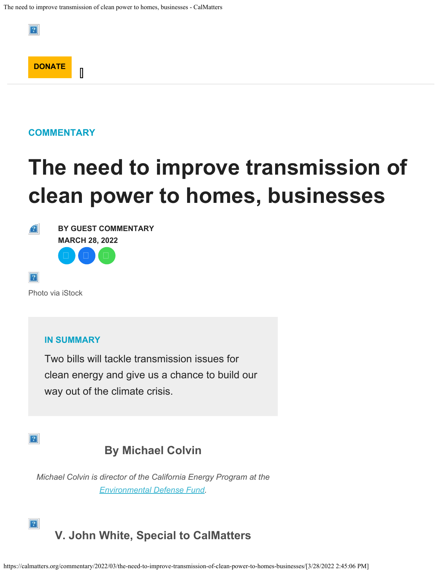

 $\mathbb I$ 

**[DONATE](https://checkout.fundjournalism.org/memberform?org_id=calmatters&campaign=7015w000001In4rAAC)**

 $|2|$ 

# **The need to improve transmission of clean power to homes, businesses**



**BY [GUEST COMMENTARY](https://calmatters.org/author/guest-commentary/) MARCH 28, 2022**  $\Box$   $\Box$   $\Box$ 

 $|2|$ 

Photo via iStock

#### **IN SUMMARY**

Two bills will tackle transmission issues for clean energy and give us a chance to build our way out of the climate crisis.

#### $|2|$

 $|2|$ 

### **By Michael Colvin**

*Michael Colvin is director of the California Energy Program at the [Environmental Defense Fund.](https://www.edf.org/)*

# **V. John White, Special to CalMatters**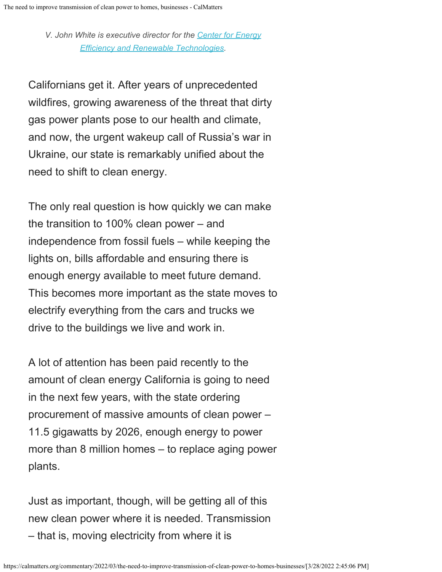*V. John White is executive director for the [Center for Energy](https://ceert.org/) [Efficiency and Renewable Technologies](https://ceert.org/).*

Californians get it. After years of unprecedented wildfires, growing awareness of the threat that dirty gas power plants pose to our health and climate, and now, the urgent wakeup call of Russia's war in Ukraine, our state is remarkably unified about the need to shift to clean energy.

The only real question is how quickly we can make the transition to 100% clean power – and independence from fossil fuels – while keeping the lights on, bills affordable and ensuring there is enough energy available to meet future demand. This becomes more important as the state moves to electrify everything from the cars and trucks we drive to the buildings we live and work in.

A lot of attention has been paid recently to the amount of clean energy California is going to need in the next few years, with the state ordering procurement of massive amounts of clean power – 11.5 gigawatts by 2026, enough energy to power more than 8 million homes – to replace aging power plants.

Just as important, though, will be getting all of this new clean power where it is needed. Transmission – that is, moving electricity from where it is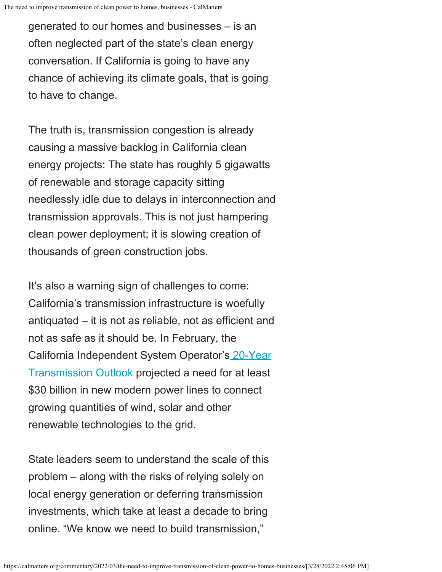generated to our homes and businesses – is an often neglected part of the state's clean energy conversation. If California is going to have any chance of achieving its climate goals, that is going to have to change.

The truth is, transmission congestion is already causing a massive backlog in California clean energy projects: The state has roughly 5 gigawatts of renewable and storage capacity sitting needlessly idle due to delays in interconnection and transmission approvals. This is not just hampering clean power deployment; it is slowing creation of thousands of green construction jobs.

It's also a warning sign of challenges to come: California's transmission infrastructure is woefully antiquated – it is not as reliable, not as efficient and not as safe as it should be. In February, the California Independent System Operator'[s 20-Year](http://www.caiso.com/Documents/California-ISO-releases-first-ever-20-year-Transmission-Outlook.pdf) [Transmission Outlook](http://www.caiso.com/Documents/California-ISO-releases-first-ever-20-year-Transmission-Outlook.pdf) projected a need for at least \$30 billion in new modern power lines to connect growing quantities of wind, solar and other renewable technologies to the grid.

State leaders seem to understand the scale of this problem – along with the risks of relying solely on local energy generation or deferring transmission investments, which take at least a decade to bring online. "We know we need to build transmission,"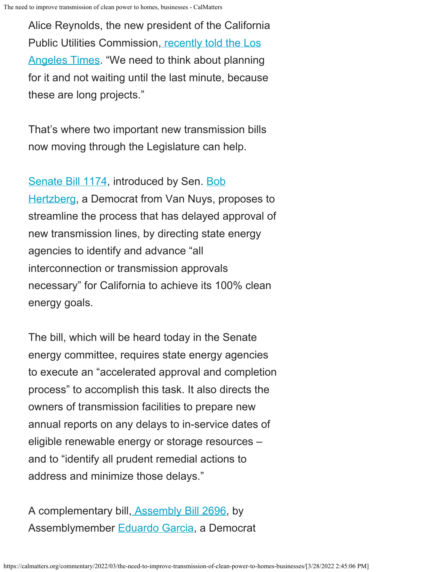Alice Reynolds, the new president of the California Public Utilities Commission[, recently told the Los](https://www.latimes.com/environment/newsletter/2022-03-17/is-california-doing-enough-on-climate-we-asked-the-new-cpuc-chief-boiling-point) [Angeles Times](https://www.latimes.com/environment/newsletter/2022-03-17/is-california-doing-enough-on-climate-we-asked-the-new-cpuc-chief-boiling-point). "We need to think about planning for it and not waiting until the last minute, because these are long projects."

That's where two important new transmission bills now moving through the Legislature can help.

[Senate Bill 1174](https://leginfo.legislature.ca.gov/faces/billNavClient.xhtml?bill_id=202120220SB1174), introduced by Sen. [Bob](https://calmatters.org/legislator-tracker/robert-hertzberg-1954/) [Hertzberg](https://calmatters.org/legislator-tracker/robert-hertzberg-1954/), a Democrat from Van Nuys, proposes to streamline the process that has delayed approval of new transmission lines, by directing state energy agencies to identify and advance "all interconnection or transmission approvals necessary" for California to achieve its 100% clean energy goals.

The bill, which will be heard today in the Senate energy committee, requires state energy agencies to execute an "accelerated approval and completion process" to accomplish this task. It also directs the owners of transmission facilities to prepare new annual reports on any delays to in-service dates of eligible renewable energy or storage resources – and to "identify all prudent remedial actions to address and minimize those delays."

```
A complementary bill, Assembly Bill 2696, by
Assemblymember Eduardo Garcia, a Democrat
```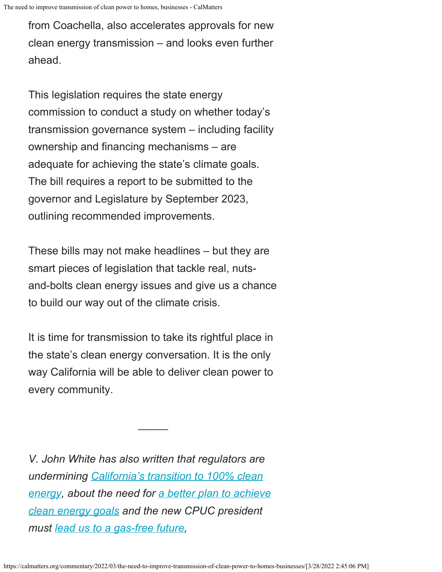The need to improve transmission of clean power to homes, businesses - CalMatters

from Coachella, also accelerates approvals for new clean energy transmission – and looks even further ahead.

This legislation requires the state energy commission to conduct a study on whether today's transmission governance system – including facility ownership and financing mechanisms – are adequate for achieving the state's climate goals. The bill requires a report to be submitted to the governor and Legislature by September 2023, outlining recommended improvements.

These bills may not make headlines – but they are smart pieces of legislation that tackle real, nutsand-bolts clean energy issues and give us a chance to build our way out of the climate crisis.

It is time for transmission to take its rightful place in the state's clean energy conversation. It is the only way California will be able to deliver clean power to every community.

 $\frac{1}{2}$ 

*V. John White has also written that regulators are undermining [California's transition to 100% clean](https://calmatters.org/commentary/my-turn/2021/03/regulators-are-undermining-californias-transition-to-100-clean-energy/) [energy](https://calmatters.org/commentary/my-turn/2021/03/regulators-are-undermining-californias-transition-to-100-clean-energy/), about the need for [a better plan to achieve](https://calmatters.org/commentary/my-turn/2020/03/california-needs-a-better-plan-to-achieve-ambitious-clean-energy-goals/) [clean energy goals](https://calmatters.org/commentary/my-turn/2020/03/california-needs-a-better-plan-to-achieve-ambitious-clean-energy-goals/) and the new CPUC president must [lead us to a gas-free future](https://calmatters.org/commentary/2019/07/end-natural-gas/),*